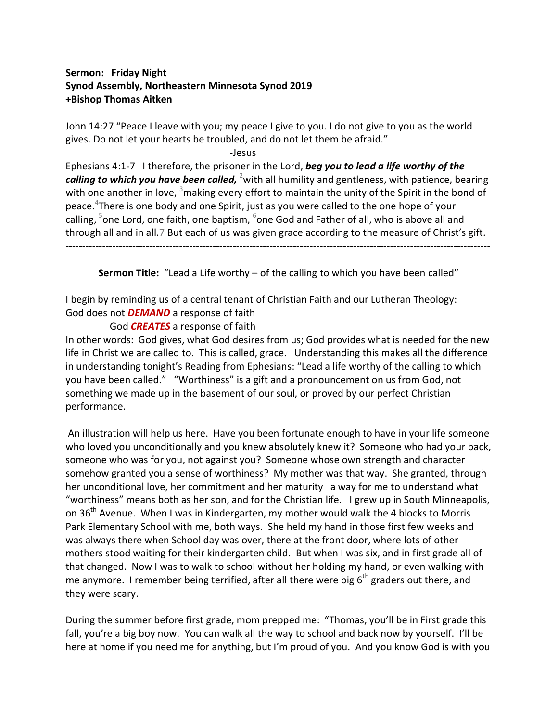## **Sermon: Friday Night Synod Assembly, Northeastern Minnesota Synod 2019 +Bishop Thomas Aitken**

John 14:27 "Peace I leave with you; my peace I give to you. I do not give to you as the world gives. Do not let your hearts be troubled, and do not let them be afraid."

-Jesus

Ephesians 4:1-7 I therefore, the prisoner in the Lord, *beg you to lead a life worthy of the*  calling to which you have been called, <sup>2</sup> with all humility and gentleness, with patience, bearing with one another in love,  $3$  making every effort to maintain the unity of the Spirit in the bond of peace.<sup>4</sup>There is one body and one Spirit, just as you were called to the one hope of your calling, <sup>5</sup>one Lord, one faith, one baptism, <sup>6</sup>one God and Father of all, who is above all and through all and in all.7 But each of us was given grace according to the measure of Christ's gift. -------------------------------------------------------------------------------------------------------------------------------

**Sermon Title:** "Lead a Life worthy – of the calling to which you have been called"

I begin by reminding us of a central tenant of Christian Faith and our Lutheran Theology: God does not *DEMAND* a response of faith

God *CREATES* a response of faith

In other words: God gives, what God desires from us; God provides what is needed for the new life in Christ we are called to. This is called, grace. Understanding this makes all the difference in understanding tonight's Reading from Ephesians: "Lead a life worthy of the calling to which you have been called." "Worthiness" is a gift and a pronouncement on us from God, not something we made up in the basement of our soul, or proved by our perfect Christian performance.

An illustration will help us here. Have you been fortunate enough to have in your life someone who loved you unconditionally and you knew absolutely knew it? Someone who had your back, someone who was for you, not against you? Someone whose own strength and character somehow granted you a sense of worthiness? My mother was that way. She granted, through her unconditional love, her commitment and her maturity a way for me to understand what "worthiness" means both as her son, and for the Christian life. I grew up in South Minneapolis, on  $36<sup>th</sup>$  Avenue. When I was in Kindergarten, my mother would walk the 4 blocks to Morris Park Elementary School with me, both ways. She held my hand in those first few weeks and was always there when School day was over, there at the front door, where lots of other mothers stood waiting for their kindergarten child. But when I was six, and in first grade all of that changed. Now I was to walk to school without her holding my hand, or even walking with me anymore. I remember being terrified, after all there were big  $6<sup>th</sup>$  graders out there, and they were scary.

During the summer before first grade, mom prepped me: "Thomas, you'll be in First grade this fall, you're a big boy now. You can walk all the way to school and back now by yourself. I'll be here at home if you need me for anything, but I'm proud of you. And you know God is with you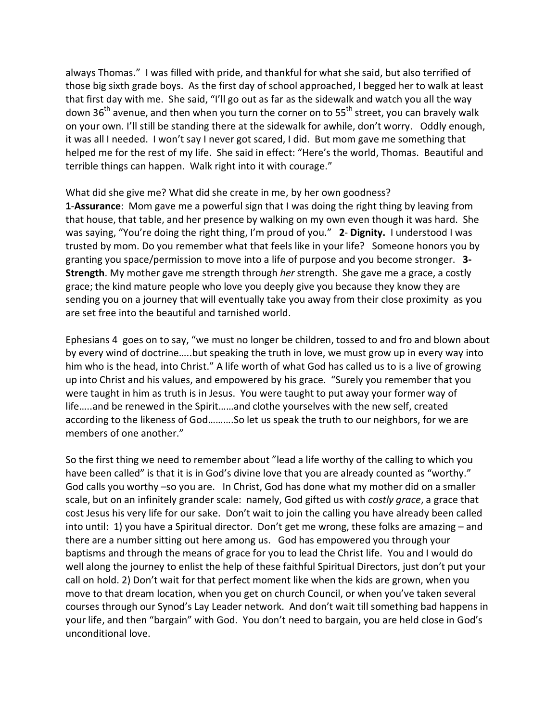always Thomas." I was filled with pride, and thankful for what she said, but also terrified of those big sixth grade boys. As the first day of school approached, I begged her to walk at least that first day with me. She said, "I'll go out as far as the sidewalk and watch you all the way down 36<sup>th</sup> avenue, and then when you turn the corner on to 55<sup>th</sup> street, you can bravely walk on your own. I'll still be standing there at the sidewalk for awhile, don't worry. Oddly enough, it was all I needed. I won't say I never got scared, I did. But mom gave me something that helped me for the rest of my life. She said in effect: "Here's the world, Thomas. Beautiful and terrible things can happen. Walk right into it with courage."

What did she give me? What did she create in me, by her own goodness?

**1**-**Assurance**: Mom gave me a powerful sign that I was doing the right thing by leaving from that house, that table, and her presence by walking on my own even though it was hard. She was saying, "You're doing the right thing, I'm proud of you." **2**- **Dignity.** I understood I was trusted by mom. Do you remember what that feels like in your life? Someone honors you by granting you space/permission to move into a life of purpose and you become stronger. **3- Strength**. My mother gave me strength through *her* strength. She gave me a grace, a costly grace; the kind mature people who love you deeply give you because they know they are sending you on a journey that will eventually take you away from their close proximity as you are set free into the beautiful and tarnished world.

Ephesians 4 goes on to say, "we must no longer be children, tossed to and fro and blown about by every wind of doctrine…..but speaking the truth in love, we must grow up in every way into him who is the head, into Christ." A life worth of what God has called us to is a live of growing up into Christ and his values, and empowered by his grace. "Surely you remember that you were taught in him as truth is in Jesus. You were taught to put away your former way of life…..and be renewed in the Spirit……and clothe yourselves with the new self, created according to the likeness of God……….So let us speak the truth to our neighbors, for we are members of one another."

So the first thing we need to remember about "lead a life worthy of the calling to which you have been called" is that it is in God's divine love that you are already counted as "worthy." God calls you worthy –so you are. In Christ, God has done what my mother did on a smaller scale, but on an infinitely grander scale: namely, God gifted us with *costly grace*, a grace that cost Jesus his very life for our sake. Don't wait to join the calling you have already been called into until: 1) you have a Spiritual director. Don't get me wrong, these folks are amazing – and there are a number sitting out here among us. God has empowered you through your baptisms and through the means of grace for you to lead the Christ life. You and I would do well along the journey to enlist the help of these faithful Spiritual Directors, just don't put your call on hold. 2) Don't wait for that perfect moment like when the kids are grown, when you move to that dream location, when you get on church Council, or when you've taken several courses through our Synod's Lay Leader network. And don't wait till something bad happens in your life, and then "bargain" with God. You don't need to bargain, you are held close in God's unconditional love.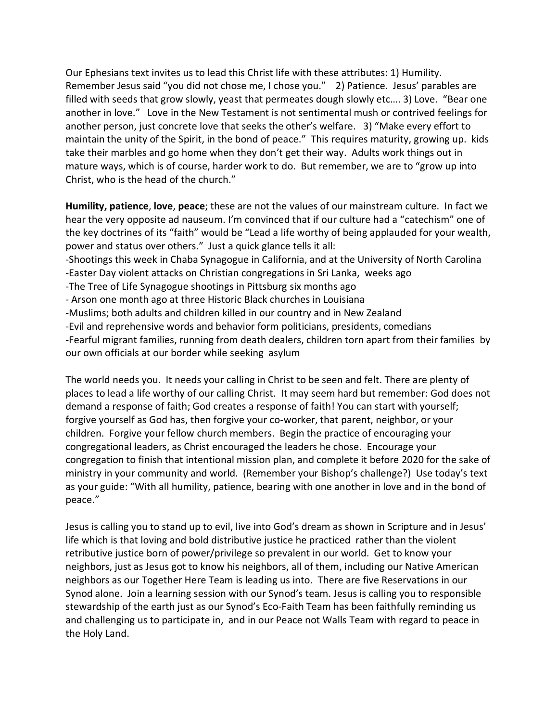Our Ephesians text invites us to lead this Christ life with these attributes: 1) Humility. Remember Jesus said "you did not chose me, I chose you." 2) Patience. Jesus' parables are filled with seeds that grow slowly, yeast that permeates dough slowly etc…. 3) Love. "Bear one another in love." Love in the New Testament is not sentimental mush or contrived feelings for another person, just concrete love that seeks the other's welfare. 3) "Make every effort to maintain the unity of the Spirit, in the bond of peace." This requires maturity, growing up. kids take their marbles and go home when they don't get their way. Adults work things out in mature ways, which is of course, harder work to do. But remember, we are to "grow up into Christ, who is the head of the church."

**Humility, patience**, **love**, **peace**; these are not the values of our mainstream culture. In fact we hear the very opposite ad nauseum. I'm convinced that if our culture had a "catechism" one of the key doctrines of its "faith" would be "Lead a life worthy of being applauded for your wealth, power and status over others." Just a quick glance tells it all: -Shootings this week in Chaba Synagogue in California, and at the University of North Carolina -Easter Day violent attacks on Christian congregations in Sri Lanka, weeks ago -The Tree of Life Synagogue shootings in Pittsburg six months ago - Arson one month ago at three Historic Black churches in Louisiana -Muslims; both adults and children killed in our country and in New Zealand -Evil and reprehensive words and behavior form politicians, presidents, comedians -Fearful migrant families, running from death dealers, children torn apart from their families by our own officials at our border while seeking asylum

The world needs you. It needs your calling in Christ to be seen and felt. There are plenty of places to lead a life worthy of our calling Christ. It may seem hard but remember: God does not demand a response of faith; God creates a response of faith! You can start with yourself; forgive yourself as God has, then forgive your co-worker, that parent, neighbor, or your children. Forgive your fellow church members. Begin the practice of encouraging your congregational leaders, as Christ encouraged the leaders he chose. Encourage your congregation to finish that intentional mission plan, and complete it before 2020 for the sake of ministry in your community and world. (Remember your Bishop's challenge?) Use today's text as your guide: "With all humility, patience, bearing with one another in love and in the bond of peace."

Jesus is calling you to stand up to evil, live into God's dream as shown in Scripture and in Jesus' life which is that loving and bold distributive justice he practiced rather than the violent retributive justice born of power/privilege so prevalent in our world. Get to know your neighbors, just as Jesus got to know his neighbors, all of them, including our Native American neighbors as our Together Here Team is leading us into. There are five Reservations in our Synod alone. Join a learning session with our Synod's team. Jesus is calling you to responsible stewardship of the earth just as our Synod's Eco-Faith Team has been faithfully reminding us and challenging us to participate in, and in our Peace not Walls Team with regard to peace in the Holy Land.